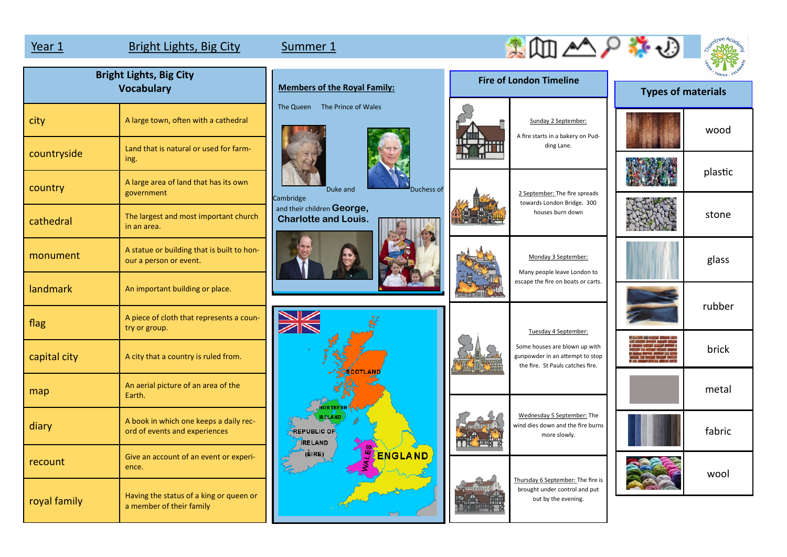map